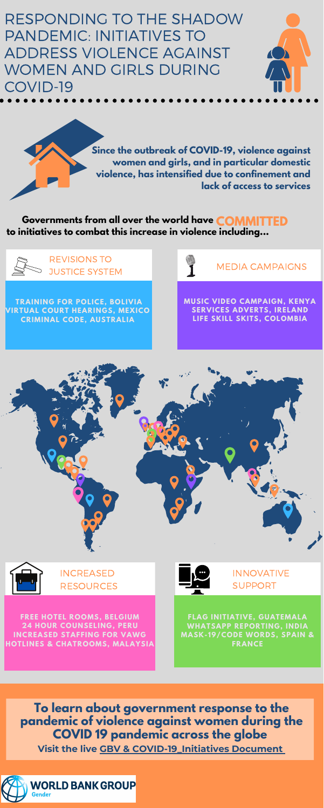RESPONDING TO THE SHADOW PANDEMIC: INITIATIVES TO ADDRESS VIOLENCE AGAINST WOMEN AND GIRLS DURING COVID-19





**To learn about government response to the pandemic of violence against women during the COVID 19 pandemic across the globe Visit the live GBV & [COVID-19\\_Initiatives](https://docs.google.com/spreadsheets/d/1xs5gXy7cBSgRex3Dt5atYJrWeOwspTdKdO0ag3x9JkU/edit?usp=sharing) Documen[t](https://docs.google.com/spreadsheets/d/1xs5gXy7cBSgRex3Dt5atYJrWeOwspTdKdO0ag3x9JkU/edit?usp=sharing)**



**MUSIC VIDEO CAMPAIGN, KENYA SERVICES ADVERTS, IRELAND LIFE SKILL SKITS, COLOMBIA**







**VIRTUAL COURT HEARINGS, MEXICO CRIMINAL CODE, AUSTRALIA**

**FREE HOTEL ROOMS, BELGIUM 24 HOUR COUNSELING, PERU INCREASED STAFFING FOR VAWG HOTLINES & CHATROOMS, MALAYSIA**

**FLAG INITIATIVE, GUATEMALA WHATSAPP REPORTING, INDIA MASK-19/CODE WORDS, SPAIN & FRANCE**



INCREASED RESOURCES



INNOVATIVE SUPPORT

**Governments from all over the world have COMMITTEDto initiatives to combat this increase in violence including...**